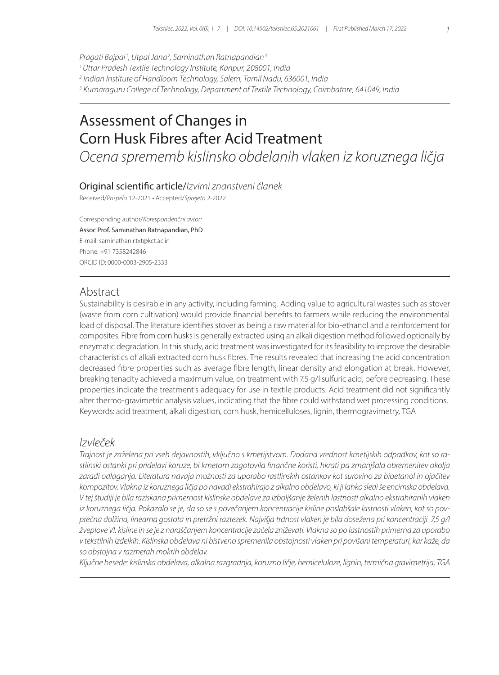*Pragati Bajpai <sup>1</sup> , Utpal Jana2 , Saminathan Ratnapandian3*

*1 Uttar Pradesh Textile Technology Institute, Kanpur, 208001, India*

*2 Indian Institute of Handloom Technology, Salem, Tamil Nadu, 636001, India*

*3 Kumaraguru College of Technology, Department of Textile Technology, Coimbatore, 641049, India*

# Assessment of Changes in Corn Husk Fibres after Acid Treatment

*Ocena sprememb kislinsko obdelanih vlaken iz koruznega ličja*

## Original scientific article/*Izvirni znanstveni članek*

Received/*Prispelo* 12-2021 • Accepted/*Sprejeto* 2-2022

Corresponding author/*Korespondenčni avtor:* Assoc Prof. Saminathan Ratnapandian, PhD E-mail: saminathan.r.txt@kct.ac.in Phone: +91 7358242846 ORCID ID: 0000-0003-2905-2333

## Abstract

Sustainability is desirable in any activity, including farming. Adding value to agricultural wastes such as stover (waste from corn cultivation) would provide financial benefits to farmers while reducing the environmental load of disposal. The literature identifies stover as being a raw material for bio-ethanol and a reinforcement for composites. Fibre from corn husks is generally extracted using an alkali digestion method followed optionally by enzymatic degradation. In this study, acid treatment was investigated for its feasibility to improve the desirable characteristics of alkali extracted corn husk fibres. The results revealed that increasing the acid concentration decreased fibre properties such as average fibre length, linear density and elongation at break. However, breaking tenacity achieved a maximum value, on treatment with 7.5 g/l sulfuric acid, before decreasing. These properties indicate the treatment's adequacy for use in textile products. Acid treatment did not significantly alter thermo-gravimetric analysis values, indicating that the fibre could withstand wet processing conditions. Keywords: acid treatment, alkali digestion, corn husk, hemicelluloses, lignin, thermogravimetry, TGA

## *Izvleček*

*Trajnost je zaželena pri vseh dejavnostih, vključno s kmetijstvom. Dodana vrednost kmetijskih odpadkov, kot so rastlinski ostanki pri pridelavi koruze, bi kmetom zagotovila finančne koristi, hkrati pa zmanjšala obremenitev okolja zaradi odlaganja. Literatura navaja možnosti za uporabo rastlinskih ostankov kot surovino za bioetanol in ojačitev kompozitov. Vlakna iz koruznega ličja po navadi ekstrahirajo z alkalno obdelavo, ki ji lahko sledi še encimska obdelava. V tej študiji je bila raziskana primernost kislinske obdelave za izboljšanje želenih lastnosti alkalno ekstrahiranih vlaken iz koruznega ličja. Pokazalo se je, da so se s povečanjem koncentracije kisline poslabšale lastnosti vlaken, kot so povprečna dolžina, linearna gostota in pretržni raztezek. Najvišja trdnost vlaken je bila dosežena pri koncentraciji 7,5 g/l žveplove VI. kisline in se je z naraščanjem koncentracije začela zniževati. Vlakna so po lastnostih primerna za uporabo v tekstilnih izdelkih. Kislinska obdelava ni bistveno spremenila obstojnosti vlaken pri povišani temperaturi, kar kaže, da so obstojna v razmerah mokrih obdelav.*

*Ključne besede: kislinska obdelava, alkalna razgradnja, koruzno ličje, hemiceluloze, lignin, termična gravimetrija, TGA*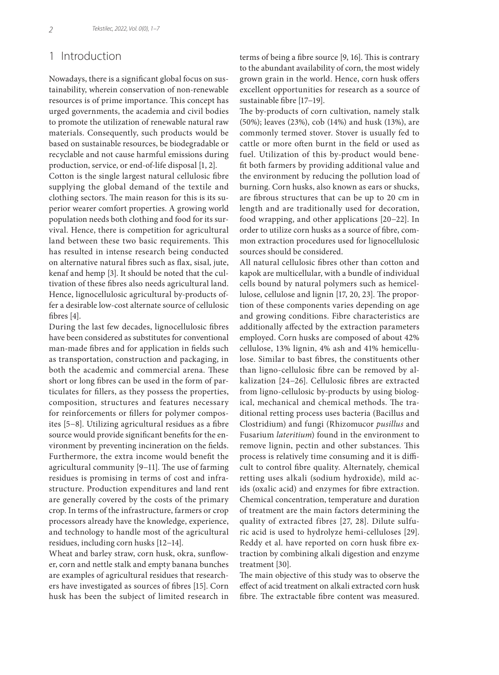# 1 Introduction

Nowadays, there is a significant global focus on sustainability, wherein conservation of non-renewable resources is of prime importance. This concept has urged governments, the academia and civil bodies to promote the utilization of renewable natural raw materials. Consequently, such products would be based on sustainable resources, be biodegradable or recyclable and not cause harmful emissions during production, service, or end-of-life disposal [1, 2].

Cotton is the single largest natural cellulosic fibre supplying the global demand of the textile and clothing sectors. The main reason for this is its superior wearer comfort properties. A growing world population needs both clothing and food for its survival. Hence, there is competition for agricultural land between these two basic requirements. This has resulted in intense research being conducted on alternative natural fibres such as flax, sisal, jute, kenaf and hemp [3]. It should be noted that the cultivation of these fibres also needs agricultural land. Hence, lignocellulosic agricultural by-products offer a desirable low-cost alternate source of cellulosic fibres [4].

During the last few decades, lignocellulosic fibres have been considered as substitutes for conventional man-made fibres and for application in fields such as transportation, construction and packaging, in both the academic and commercial arena. These short or long fibres can be used in the form of particulates for fillers, as they possess the properties, composition, structures and features necessary for reinforcements or fillers for polymer composites [5−8]. Utilizing agricultural residues as a fibre source would provide significant benefits for the environment by preventing incineration on the fields. Furthermore, the extra income would benefit the agricultural community [9−11]. The use of farming residues is promising in terms of cost and infrastructure. Production expenditures and land rent are generally covered by the costs of the primary crop. In terms of the infrastructure, farmers or crop processors already have the knowledge, experience, and technology to handle most of the agricultural residues, including corn husks [12−14].

Wheat and barley straw, corn husk, okra, sunflower, corn and nettle stalk and empty banana bunches are examples of agricultural residues that researchers have investigated as sources of fibres [15]. Corn husk has been the subject of limited research in terms of being a fibre source [9, 16]. This is contrary to the abundant availability of corn, the most widely grown grain in the world. Hence, corn husk offers excellent opportunities for research as a source of sustainable fibre [17−19].

The by-products of corn cultivation, namely stalk (50%); leaves (23%), cob (14%) and husk (13%), are commonly termed stover. Stover is usually fed to cattle or more often burnt in the field or used as fuel. Utilization of this by-product would benefit both farmers by providing additional value and the environment by reducing the pollution load of burning. Corn husks, also known as ears or shucks, are fibrous structures that can be up to 20 cm in length and are traditionally used for decoration, food wrapping, and other applications [20−22]. In order to utilize corn husks as a source of fibre, common extraction procedures used for lignocellulosic sources should be considered.

All natural cellulosic fibres other than cotton and kapok are multicellular, with a bundle of individual cells bound by natural polymers such as hemicellulose, cellulose and lignin [17, 20, 23]. The proportion of these components varies depending on age and growing conditions. Fibre characteristics are additionally affected by the extraction parameters employed. Corn husks are composed of about 42% cellulose, 13% lignin, 4% ash and 41% hemicellulose. Similar to bast fibres, the constituents other than ligno-cellulosic fibre can be removed by alkalization [24−26]. Cellulosic fibres are extracted from ligno-cellulosic by-products by using biological, mechanical and chemical methods. The traditional retting process uses bacteria (Bacillus and Clostridium) and fungi (Rhizomucor *pusillus* and Fusarium *lateritium*) found in the environment to remove lignin, pectin and other substances. This process is relatively time consuming and it is difficult to control fibre quality. Alternately, chemical retting uses alkali (sodium hydroxide), mild acids (oxalic acid) and enzymes for fibre extraction. Chemical concentration, temperature and duration of treatment are the main factors determining the quality of extracted fibres [27, 28]. Dilute sulfuric acid is used to hydrolyze hemi-celluloses [29]. Reddy et al. have reported on corn husk fibre extraction by combining alkali digestion and enzyme treatment [30].

The main objective of this study was to observe the effect of acid treatment on alkali extracted corn husk fibre. The extractable fibre content was measured.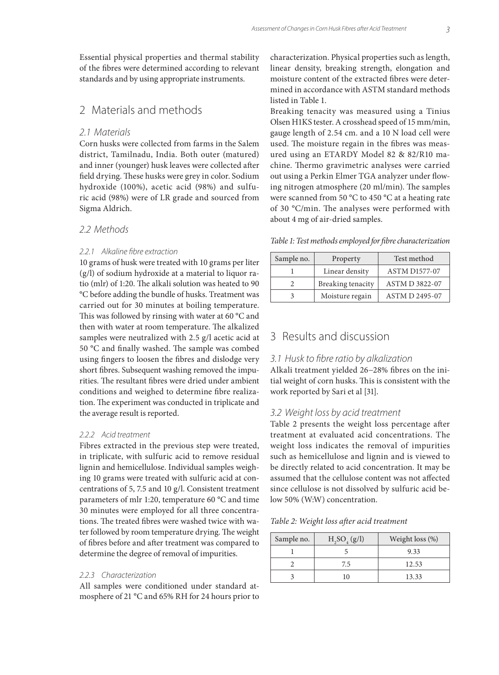Essential physical properties and thermal stability of the fibres were determined according to relevant standards and by using appropriate instruments.

## 2 Materials and methods

#### *2.1 Materials*

Corn husks were collected from farms in the Salem district, Tamilnadu, India. Both outer (matured) and inner (younger) husk leaves were collected after field drying. These husks were grey in color. Sodium hydroxide (100%), acetic acid (98%) and sulfuric acid (98%) were of LR grade and sourced from Sigma Aldrich.

## *2.2 Methods*

#### *2.2.1 Alkaline fibre extraction*

10 grams of husk were treated with 10 grams per liter (g/l) of sodium hydroxide at a material to liquor ratio (mlr) of 1:20. The alkali solution was heated to 90 °C before adding the bundle of husks. Treatment was carried out for 30 minutes at boiling temperature. This was followed by rinsing with water at 60 °C and then with water at room temperature. The alkalized samples were neutralized with 2.5 g/l acetic acid at 50 °C and finally washed. The sample was combed using fingers to loosen the fibres and dislodge very short fibres. Subsequent washing removed the impurities. The resultant fibres were dried under ambient conditions and weighed to determine fibre realization. The experiment was conducted in triplicate and the average result is reported.

#### *2.2.2 Acid treatment*

Fibres extracted in the previous step were treated, in triplicate, with sulfuric acid to remove residual lignin and hemicellulose. Individual samples weighing 10 grams were treated with sulfuric acid at concentrations of 5, 7.5 and 10 g/l. Consistent treatment parameters of mlr 1:20, temperature 60 °C and time 30 minutes were employed for all three concentrations. The treated fibres were washed twice with water followed by room temperature drying. The weight of fibres before and after treatment was compared to determine the degree of removal of impurities.

#### *2.2.3 Characterization*

All samples were conditioned under standard atmosphere of 21 °C and 65% RH for 24 hours prior to characterization. Physical properties such as length, linear density, breaking strength, elongation and moisture content of the extracted fibres were determined in accordance with ASTM standard methods listed in Table 1.

Breaking tenacity was measured using a Tinius Olsen H1KS tester. A crosshead speed of 15 mm/min, gauge length of 2.54 cm. and a 10 N load cell were used. The moisture regain in the fibres was measured using an ETARDY Model 82 & 82/R10 machine. Thermo gravimetric analyses were carried out using a Perkin Elmer TGA analyzer under flowing nitrogen atmosphere (20 ml/min). The samples were scanned from 50 °C to 450 °C at a heating rate of 30 °C/min. The analyses were performed with about 4 mg of air-dried samples.

*Table 1: Test methods employed for fibre characterization*

| Sample no. | Property          | Test method          |
|------------|-------------------|----------------------|
|            | Linear density    | <b>ASTM D1577-07</b> |
|            | Breaking tenacity | ASTM D 3822-07       |
|            | Moisture regain   | ASTM D 2495-07       |

# 3 Results and discussion

## *3.1 Husk to fibre ratio by alkalization*

Alkali treatment yielded 26−28% fibres on the initial weight of corn husks. This is consistent with the work reported by Sari et al [31].

#### *3.2 Weight loss by acid treatment*

Table 2 presents the weight loss percentage after treatment at evaluated acid concentrations. The weight loss indicates the removal of impurities such as hemicellulose and lignin and is viewed to be directly related to acid concentration. It may be assumed that the cellulose content was not affected since cellulose is not dissolved by sulfuric acid below 50% (W:W) concentration.

*Table 2: Weight loss after acid treatment*

| Sample no. | $H, SO_{4}(g/l)$ | Weight loss (%) |
|------------|------------------|-----------------|
|            |                  | 9.33            |
|            | 7.5              | 12.53           |
|            | $\left($         | 13.33           |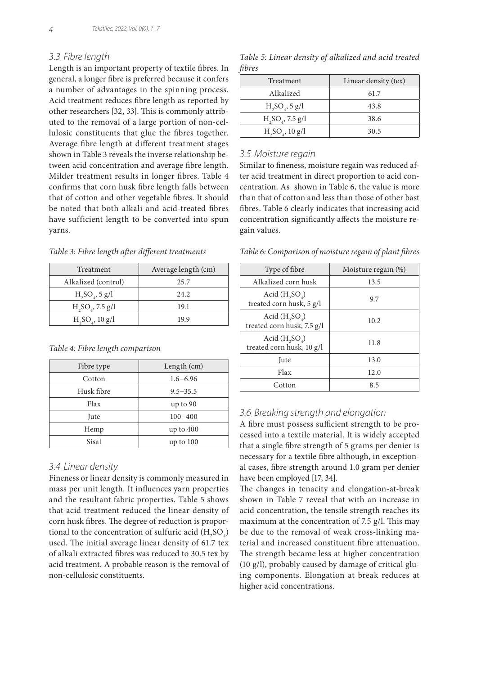## *3.3 Fibre length*

Length is an important property of textile fibres. In general, a longer fibre is preferred because it confers a number of advantages in the spinning process. Acid treatment reduces fibre length as reported by other researchers [32, 33]. This is commonly attributed to the removal of a large portion of non-cellulosic constituents that glue the fibres together. Average fibre length at different treatment stages shown in Table 3 reveals the inverse relationship between acid concentration and average fibre length. Milder treatment results in longer fibres. Table 4 confirms that corn husk fibre length falls between that of cotton and other vegetable fibres. It should be noted that both alkali and acid-treated fibres have sufficient length to be converted into spun yarns.

*Table 3: Fibre length after different treatments*

| Treatment                   | Average length (cm) |  |
|-----------------------------|---------------------|--|
| Alkalized (control)         | 25.7                |  |
| $H_2SO_4$ , 5 g/l           | 2.4.2.              |  |
| $H_2SO_4$ , 7.5 g/l         | 19.1                |  |
| H, SO <sub>a</sub> , 10 g/l | 19 9                |  |

*Table 4: Fibre length comparison*

| Fibre type | Length (cm)  |  |
|------------|--------------|--|
| Cotton     | $1.6 - 6.96$ |  |
| Husk fibre | $9.5 - 35.5$ |  |
| Flax       | up to 90     |  |
| Jute       | $100 - 400$  |  |
| Hemp       | up to $400$  |  |
| Sisal      | up to 100    |  |

## *3.4 Linear density*

Fineness or linear density is commonly measured in mass per unit length. It influences yarn properties and the resultant fabric properties. Table 5 shows that acid treatment reduced the linear density of corn husk fibres. The degree of reduction is proportional to the concentration of sulfuric acid  $(\text{H}_{2} \text{SO}_{4})$ used. The initial average linear density of 61.7 tex of alkali extracted fibres was reduced to 30.5 tex by acid treatment. A probable reason is the removal of non-cellulosic constituents.

*Table 5: Linear density of alkalized and acid treated fibres*

| Treatment                    | Linear density (tex) |  |
|------------------------------|----------------------|--|
| Alkalized                    | 61.7                 |  |
| $H_2SO_4$ , 5 g/l            | 43.8                 |  |
| H, SO <sub>a</sub> , 7.5 g/l | 38.6                 |  |
| H, SO <sub>a</sub> , 10 g/l  | 30.5                 |  |

#### *3.5 Moisture regain*

Similar to fineness, moisture regain was reduced after acid treatment in direct proportion to acid concentration. As shown in Table 6, the value is more than that of cotton and less than those of other bast fibres. Table 6 clearly indicates that increasing acid concentration significantly affects the moisture regain values.

*Table 6: Comparison of moisture regain of plant fibres*

| Type of fibre                                  | Moisture regain $(\%)$ |  |
|------------------------------------------------|------------------------|--|
| Alkalized corn husk                            | 13.5                   |  |
| Acid $(H, SO_a)$<br>treated corn husk, 5 g/l   | 9.7                    |  |
| Acid $(H, SO_a)$<br>treated corn husk, 7.5 g/l | 10.2                   |  |
| Acid $(H, SO4)$<br>treated corn husk, 10 g/l   | 11.8                   |  |
| Jute                                           | 13.0                   |  |
| Flax                                           | 12.0                   |  |
| Cotton                                         | 8.5                    |  |

## *3.6 Breaking strength and elongation*

A fibre must possess sufficient strength to be processed into a textile material. It is widely accepted that a single fibre strength of 5 grams per denier is necessary for a textile fibre although, in exceptional cases, fibre strength around 1.0 gram per denier have been employed [17, 34].

The changes in tenacity and elongation-at-break shown in Table 7 reveal that with an increase in acid concentration, the tensile strength reaches its maximum at the concentration of 7.5 g/l. This may be due to the removal of weak cross-linking material and increased constituent fibre attenuation. The strength became less at higher concentration (10 g/l), probably caused by damage of critical gluing components. Elongation at break reduces at higher acid concentrations.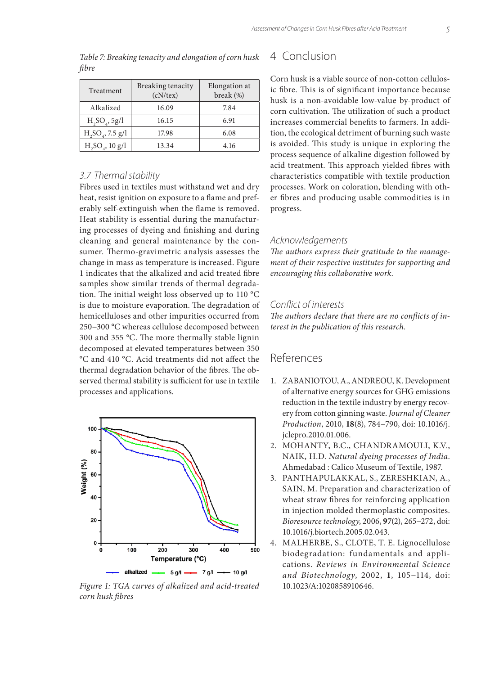| Treatment                   | Breaking tenacity<br>(cN/tex) | Elongation at<br>break $(\%)$ |
|-----------------------------|-------------------------------|-------------------------------|
| Alkalized                   | 16.09                         | 7.84                          |
| H, SO <sub>a</sub> , 5g/l   | 16.15                         | 6.91                          |
| $H_2SO_4$ , 7.5 g/l         | 17.98                         | 6.08                          |
| H, SO <sub>a</sub> , 10 g/l | 13.34                         | 4.16                          |

*Table 7: Breaking tenacity and elongation of corn husk fibre*

### *3.7 Thermal stability*

Fibres used in textiles must withstand wet and dry heat, resist ignition on exposure to a flame and preferably self-extinguish when the flame is removed. Heat stability is essential during the manufacturing processes of dyeing and finishing and during cleaning and general maintenance by the consumer. Thermo-gravimetric analysis assesses the change in mass as temperature is increased. Figure 1 indicates that the alkalized and acid treated fibre samples show similar trends of thermal degradation. The initial weight loss observed up to 110 °C is due to moisture evaporation. The degradation of hemicelluloses and other impurities occurred from 250−300 °C whereas cellulose decomposed between 300 and 355 °C. The more thermally stable lignin decomposed at elevated temperatures between 350 °C and 410 °C. Acid treatments did not affect the thermal degradation behavior of the fibres. The observed thermal stability is sufficient for use in textile processes and applications.



*Figure 1: TGA curves of alkalized and acid-treated corn husk fibres*

# 4 Conclusion

Corn husk is a viable source of non-cotton cellulosic fibre. This is of significant importance because husk is a non-avoidable low-value by-product of corn cultivation. The utilization of such a product increases commercial benefits to farmers. In addition, the ecological detriment of burning such waste is avoided. This study is unique in exploring the process sequence of alkaline digestion followed by acid treatment. This approach yielded fibres with characteristics compatible with textile production processes. Work on coloration, blending with other fibres and producing usable commodities is in progress.

#### *Acknowledgements*

*The authors express their gratitude to the management of their respective institutes for supporting and encouraging this collaborative work.*

## *Conflict of interests*

*The authors declare that there are no conflicts of interest in the publication of this research.*

# References

- 1. ZABANIOTOU, A., ANDREOU, K. Development of alternative energy sources for GHG emissions reduction in the textile industry by energy recovery from cotton ginning waste. *Journal of Cleaner Production*, 2010, **18**(8), 784−790, doi: 10.1016/j. jclepro.2010.01.006.
- 2. MOHANTY, B.C., CHANDRAMOULI, K.V., NAIK, H.D. *Natural dyeing processes of India*. Ahmedabad : Calico Museum of Textile, 1987.
- 3. PANTHAPULAKKAL, S., ZERESHKIAN, A., SAIN, M. Preparation and characterization of wheat straw fibres for reinforcing application in injection molded thermoplastic composites. *Bioresource technology*, 2006, **97**(2), 265−272, doi: 10.1016/j.biortech.2005.02.043.
- 4. MALHERBE, S., CLOTE, T. E. Lignocellulose biodegradation: fundamentals and applications. *Reviews in Environmental Science and Biotechnology*, 2002, **1**, 105−114, doi: 10.1023/A:1020858910646.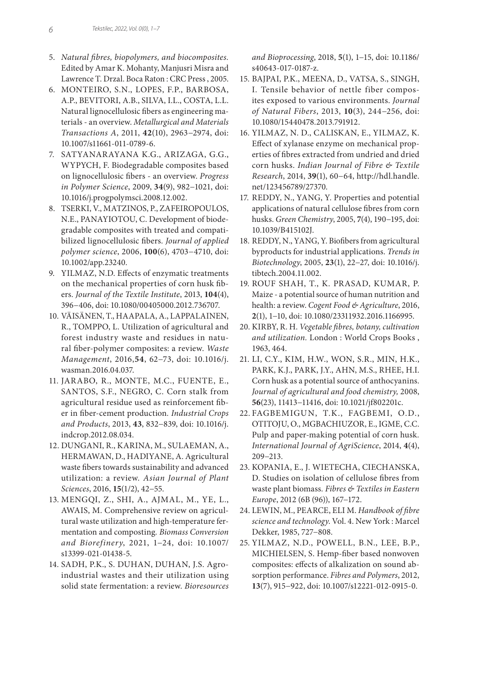- 5. *Natural fibres, biopolymers, and biocomposites.*  Edited by Amar K. Mohanty, Manjusri Misra and Lawrence T. Drzal. Boca Raton : CRC Press , 2005.
- 6. MONTEIRO, S.N., LOPES, F.P., BARBOSA, A.P., BEVITORI, A.B., SILVA, I.L., COSTA, L.L. Natural lignocellulosic fibers as engineering materials - an overview. *Metallurgical and Materials Transactions A*, 2011, **42**(10), 2963−2974, doi: 10.1007/s11661-011-0789-6.
- 7. SATYANARAYANA K.G., ARIZAGA, G.G., WYPYCH, F. Biodegradable composites based on lignocellulosic fibers - an overview. *Progress in Polymer Science*, 2009, **34**(9), 982−1021, doi: 10.1016/j.progpolymsci.2008.12.002.
- 8. TSERKI, V., MATZINOS, P., ZAFEIROPOULOS, N.E., PANAYIOTOU, C. Development of biodegradable composites with treated and compatibilized lignocellulosic fibers*. Journal of applied polymer science*, 2006, **100**(6), 4703−4710, doi: 10.1002/app.23240.
- 9. YILMAZ, N.D. Effects of enzymatic treatments on the mechanical properties of corn husk fibers. *Journal of the Textile Institute*, 2013, **104**(4), 396−406, doi: 10.1080/00405000.2012.736707.
- 10. VÄISÄNEN, T., HAAPALA, A., LAPPALAINEN, R., TOMPPO, L. Utilization of agricultural and forest industry waste and residues in natural fiber-polymer composites: a review. *Waste Management*, 2016,**54**, 62−73, doi: 10.1016/j. wasman.2016.04.037.
- 11. JARABO, R., MONTE, M.C., FUENTE, E., SANTOS, S.F., NEGRO, C. Corn stalk from agricultural residue used as reinforcement fiber in fiber-cement production*. Industrial Crops and Products*, 2013, **43**, 832−839, doi: 10.1016/j. indcrop.2012.08.034.
- 12. DUNGANI, R., KARINA, M., SULAEMAN, A., HERMAWAN, D., HADIYANE, A. Agricultural waste fibers towards sustainability and advanced utilization: a review*. Asian Journal of Plant Sciences*, 2016, **15**(1/2), 42−55.
- 13. MENGQI, Z., SHI, A., AJMAL, M., YE, L., AWAIS, M. Comprehensive review on agricultural waste utilization and high-temperature fermentation and composting*. Biomass Conversion and Biorefinery*, 2021, 1−24, doi: 10.1007/ s13399-021-01438-5.
- 14. SADH, P.K., S. DUHAN, DUHAN, J.S. Agroindustrial wastes and their utilization using solid state fermentation: a review. *Bioresources*

*and Bioprocessing*, 2018, **5**(1), 1−15, doi: 10.1186/ s40643-017-0187-z.

- 15. BAJPAI, P.K., MEENA, D., VATSA, S., SINGH, I. Tensile behavior of nettle fiber composites exposed to various environments. *Journal of Natural Fibers*, 2013, **10**(3), 244−256, doi: 10.1080/15440478.2013.791912.
- 16. YILMAZ, N. D., CALISKAN, E., YILMAZ, K. Effect of xylanase enzyme on mechanical properties of fibres extracted from undried and dried corn husks. *Indian Journal of Fibre & Textile Research*, 2014, **39**(1), 60−64, http://hdl.handle. net/123456789/27370.
- 17. REDDY, N., YANG, Y. Properties and potential applications of natural cellulose fibres from corn husks. *Green Chemistry*, 2005, **7**(4), 190−195, doi: 10.1039/B415102J.
- 18. REDDY, N., YANG, Y. Biofibers from agricultural byproducts for industrial applications. *Trends in Biotechnology*, 2005, **23**(1), 22−27, doi: 10.1016/j. tibtech.2004.11.002.
- 19. ROUF SHAH, T., K. PRASAD, KUMAR, P. Maize - a potential source of human nutrition and health: a review. *Cogent Food & Agriculture*, 2016, **2**(1), 1−10, doi: 10.1080/23311932.2016.1166995.
- 20. KIRBY, R. H. *Vegetable fibres, botany, cultivation and utilization.* London : World Crops Books , 1963, 464.
- 21. LI, C.Y., KIM, H.W., WON, S.R., MIN, H.K., PARK, K.J., PARK, J.Y., AHN, M.S., RHEE, H.I. Corn husk as a potential source of anthocyanins. *Journal of agricultural and food chemistry,* 2008, **56**(23), 11413−11416, doi: 10.1021/jf802201c.
- 22. FAGBEMIGUN, T.K., FAGBEMI, O.D., OTITOJU, O., MGBACHIUZOR, E., IGME, C.C. Pulp and paper-making potential of corn husk*. International Journal of AgriScience*, 2014, **4**(4), 209−213.
- 23. KOPANIA, E., J. WIETECHA, CIECHANSKA, D. Studies on isolation of cellulose fibres from waste plant biomass*. Fibres & Textiles in Eastern Europe*, 2012 (6B (96)), 167−172.
- 24. LEWIN, M., PEARCE, ELI M. *Handbook of fibre science and technology*. Vol. 4. New York : Marcel Dekker, 1985, 727−808.
- 25. YILMAZ, N.D., POWELL, B.N., LEE, B.P., MICHIELSEN, S. Hemp-fiber based nonwoven composites: effects of alkalization on sound absorption performance. *Fibres and Polymers*, 2012, **13**(7), 915−922, doi: 10.1007/s12221-012-0915-0.